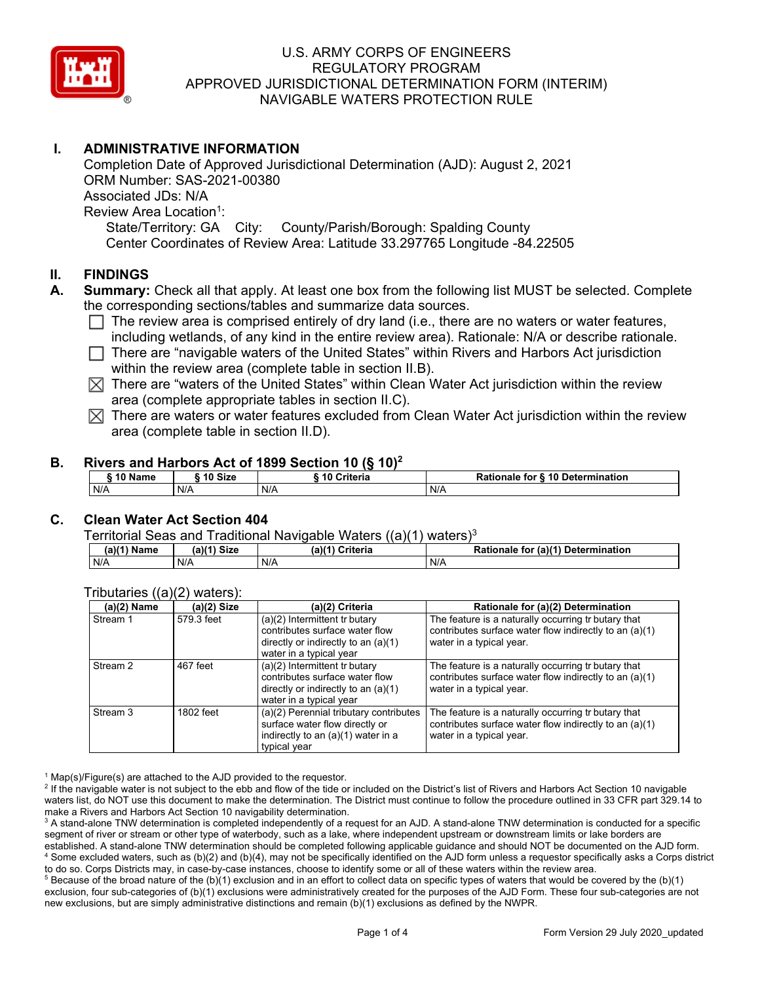

# **I. ADMINISTRATIVE INFORMATION**

Associated JDs: N/A Completion Date of Approved Jurisdictional Determination (AJD): August 2, 2021 ORM Number: SAS-2021-00380 Review Area Location<sup>1</sup>: State/Territory: GA City: County/Parish/Borough: Spalding County Center Coordinates of Review Area: Latitude 33.297765 Longitude -84.22505

### **II. FINDINGS**

- **A. Summary:** Check all that apply. At least one box from the following list MUST be selected. Complete the corresponding sections/tables and summarize data sources.
	- $\Box$  The review area is comprised entirely of dry land (i.e., there are no waters or water features, including wetlands, of any kind in the entire review area). Detianals  $M/\sqrt{a}$  at describe rationals including wetlands, of any kind in the entire review area). Rationale: N/A or describe rationale.
	- □ There are "navigable waters of the United States" within Rivers and Harbors Act jurisdiction within the review area (complete table in section II.B).
	- $\boxtimes$  There are "waters of the United States" within Clean Water Act jurisdiction within the review area (complete appropriate tables in section II.C).
	- $\boxtimes$  There are waters or water features excluded from Clean Water Act jurisdiction within the review area (complete table in section II.D).

### **B. Rivers and Harbors Act of 1899 Section 10 (§ 10)<sup>2</sup>**

| 10 Name | ີ <sup>4</sup> ባ Size | Criteria | Rationale for § 10 Determination |
|---------|-----------------------|----------|----------------------------------|
| N/A     | N/A                   | N/A      | N/A                              |

# **C. Clean Water Act Section 404**

#### Territorial Seas and Traditional Navigable Waters ((a)(1) waters)3

| $(2)(4)$ N<br>Name | $(a)$ $(1)$<br>Size | <b>Criteria</b><br>(a) | (a)(1) Detern<br>$D \Omega'$<br>mination<br>tor<br>Ratior<br>nale |
|--------------------|---------------------|------------------------|-------------------------------------------------------------------|
| N/A                | N/A                 | N/A                    | N/A                                                               |

### Tributaries ((a)(2) waters):

| $(a)(2)$ Name | (a)(2) Size | (a)(2) Criteria                                                                                                                       | Rationale for (a)(2) Determination                                                                                                        |
|---------------|-------------|---------------------------------------------------------------------------------------------------------------------------------------|-------------------------------------------------------------------------------------------------------------------------------------------|
| Stream 1      | 579.3 feet  | $(a)(2)$ Intermittent tr butary<br>contributes surface water flow<br>directly or indirectly to an $(a)(1)$<br>water in a typical year | The feature is a naturally occurring tr butary that<br>contributes surface water flow indirectly to an (a)(1)<br>water in a typical year. |
| Stream 2      | 467 feet    | $(a)(2)$ Intermittent tr butary<br>contributes surface water flow<br>directly or indirectly to an $(a)(1)$<br>water in a typical year | The feature is a naturally occurring tr butary that<br>contributes surface water flow indirectly to an (a)(1)<br>water in a typical year. |
| Stream 3      | 1802 feet   | (a)(2) Perennial tributary contributes<br>surface water flow directly or<br>indirectly to an (a)(1) water in a<br>typical year        | The feature is a naturally occurring tr butary that<br>contributes surface water flow indirectly to an (a)(1)<br>water in a typical year. |

 $1$  Map(s)/Figure(s) are attached to the AJD provided to the requestor.

<sup>2</sup> If the navigable water is not subject to the ebb and flow of the tide or included on the District's list of Rivers and Harbors Act Section 10 navigable waters list, do NOT use this document to make the determination. The District must continue to follow the procedure outlined in 33 CFR part 329.14 to make a Rivers and Harbors Act Section 10 navigability determination.

 $^3$  A stand-alone TNW determination is completed independently of a request for an AJD. A stand-alone TNW determination is conducted for a specific segment of river or stream or other type of waterbody, such as a lake, where independent upstream or downstream limits or lake borders are established. A stand-alone TNW determination should be completed following applicable guidance and should NOT be documented on the AJD form. 4 Some excluded waters, such as (b)(2) and (b)(4), may not be specifically identified on the AJD form unless a requestor specifically asks a Corps district to do so. Corps Districts may, in case-by-case instances, choose to identify some or all of these waters within the review area.

 $^5$  Because of the broad nature of the (b)(1) exclusion and in an effort to collect data on specific types of waters that would be covered by the (b)(1) exclusion, four sub-categories of (b)(1) exclusions were administratively created for the purposes of the AJD Form. These four sub-categories are not new exclusions, but are simply administrative distinctions and remain (b)(1) exclusions as defined by the NWPR.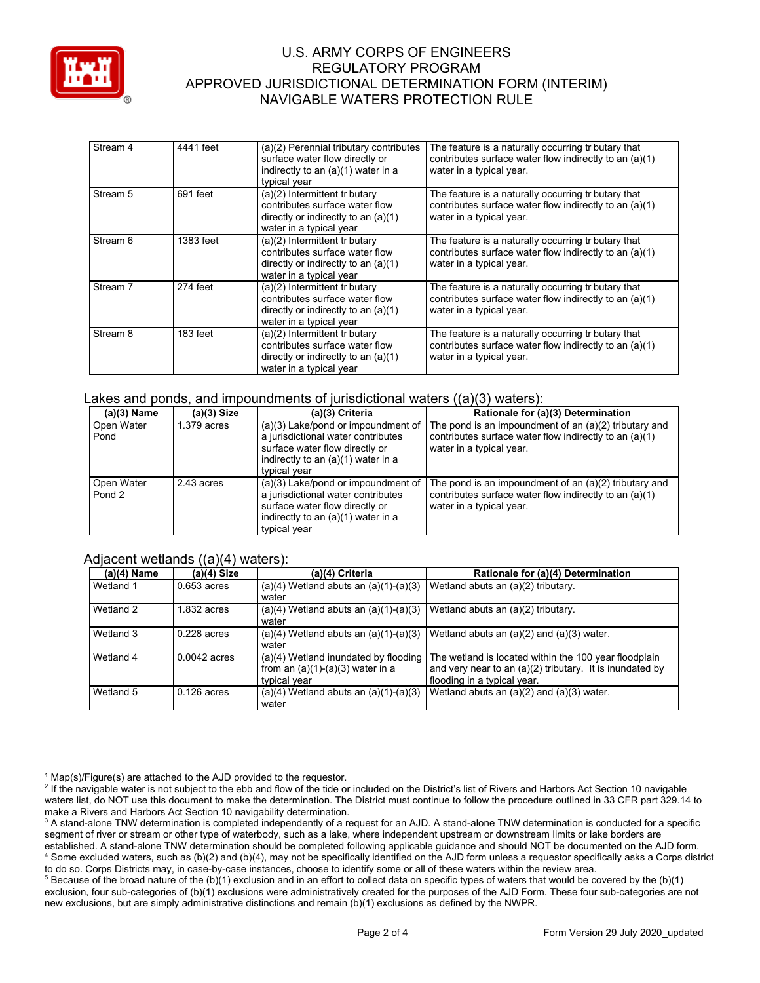

| Stream 4 | 4441 feet  | (a)(2) Perennial tributary contributes<br>surface water flow directly or<br>indirectly to an (a)(1) water in a<br>typical year      | The feature is a naturally occurring tr butary that<br>contributes surface water flow indirectly to an (a)(1)<br>water in a typical year. |
|----------|------------|-------------------------------------------------------------------------------------------------------------------------------------|-------------------------------------------------------------------------------------------------------------------------------------------|
| Stream 5 | 691 feet   | (a)(2) Intermittent tr butary<br>contributes surface water flow<br>directly or indirectly to an $(a)(1)$<br>water in a typical year | The feature is a naturally occurring tr butary that<br>contributes surface water flow indirectly to an (a)(1)<br>water in a typical year. |
| Stream 6 | 1383 feet  | (a)(2) Intermittent tr butary<br>contributes surface water flow<br>directly or indirectly to an $(a)(1)$<br>water in a typical year | The feature is a naturally occurring tr butary that<br>contributes surface water flow indirectly to an (a)(1)<br>water in a typical year. |
| Stream 7 | 274 feet   | (a)(2) Intermittent tr butary<br>contributes surface water flow<br>directly or indirectly to an $(a)(1)$<br>water in a typical year | The feature is a naturally occurring tr butary that<br>contributes surface water flow indirectly to an (a)(1)<br>water in a typical year. |
| Stream 8 | $183$ feet | (a)(2) Intermittent tr butary<br>contributes surface water flow<br>directly or indirectly to an $(a)(1)$<br>water in a typical year | The feature is a naturally occurring tr butary that<br>contributes surface water flow indirectly to an (a)(1)<br>water in a typical year. |

#### Lakes and ponds, and impoundments of jurisdictional waters  $((a)(3)$  waters):

| $(a)(3)$ Name        | $(a)(3)$ Size | (a)(3) Criteria                                                                                                                                                  | Rationale for (a)(3) Determination                                                                                                            |
|----------------------|---------------|------------------------------------------------------------------------------------------------------------------------------------------------------------------|-----------------------------------------------------------------------------------------------------------------------------------------------|
| Open Water<br>Pond   | $1.379$ acres | (a)(3) Lake/pond or impoundment of<br>a jurisdictional water contributes<br>surface water flow directly or<br>indirectly to an (a)(1) water in a<br>typical year | The pond is an impoundment of an $(a)(2)$ tributary and<br>contributes surface water flow indirectly to an (a)(1)<br>water in a typical year. |
| Open Water<br>Pond 2 | 2.43 acres    | (a)(3) Lake/pond or impoundment of<br>a jurisdictional water contributes<br>surface water flow directly or<br>indirectly to an (a)(1) water in a<br>typical year | The pond is an impoundment of an $(a)(2)$ tributary and<br>contributes surface water flow indirectly to an (a)(1)<br>water in a typical year. |

# Adiacent wetlands ((a)(4) waters):

| $(a)(4)$ Name | $\cdots$<br>(a)(4) Size | (a)(4) Criteria                                                                            | Rationale for (a)(4) Determination                                                                                                               |
|---------------|-------------------------|--------------------------------------------------------------------------------------------|--------------------------------------------------------------------------------------------------------------------------------------------------|
| Wetland 1     | $0.653$ acres           | $(a)(4)$ Wetland abuts an $(a)(1)-(a)(3)$<br>water                                         | Wetland abuts an (a)(2) tributary.                                                                                                               |
| Wetland 2     | $1.832$ acres           | $(a)(4)$ Wetland abuts an $(a)(1)-(a)(3)$<br>water                                         | Wetland abuts an (a)(2) tributary.                                                                                                               |
| Wetland 3     | $0.228$ acres           | $(a)(4)$ Wetland abuts an $(a)(1)-(a)(3)$<br>water                                         | Wetland abuts an $(a)(2)$ and $(a)(3)$ water.                                                                                                    |
| Wetland 4     | $0.0042$ acres          | (a)(4) Wetland inundated by flooding<br>from an $(a)(1)-(a)(3)$ water in a<br>typical year | The wetland is located within the 100 year floodplain<br>and very near to an (a)(2) tributary. It is inundated by<br>flooding in a typical year. |
| Wetland 5     | $0.126$ acres           | $(a)(4)$ Wetland abuts an $(a)(1)-(a)(3)$<br>water                                         | Wetland abuts an $(a)(2)$ and $(a)(3)$ water.                                                                                                    |

 $1$  Map(s)/Figure(s) are attached to the AJD provided to the requestor.

<sup>2</sup> If the navigable water is not subject to the ebb and flow of the tide or included on the District's list of Rivers and Harbors Act Section 10 navigable waters list, do NOT use this document to make the determination. The District must continue to follow the procedure outlined in 33 CFR part 329.14 to make a Rivers and Harbors Act Section 10 navigability determination.

 $^3$  A stand-alone TNW determination is completed independently of a request for an AJD. A stand-alone TNW determination is conducted for a specific segment of river or stream or other type of waterbody, such as a lake, where independent upstream or downstream limits or lake borders are established. A stand-alone TNW determination should be completed following applicable guidance and should NOT be documented on the AJD form. 4 Some excluded waters, such as (b)(2) and (b)(4), may not be specifically identified on the AJD form unless a requestor specifically asks a Corps district to do so. Corps Districts may, in case-by-case instances, choose to identify some or all of these waters within the review area.

 $^5$  Because of the broad nature of the (b)(1) exclusion and in an effort to collect data on specific types of waters that would be covered by the (b)(1) exclusion, four sub-categories of (b)(1) exclusions were administratively created for the purposes of the AJD Form. These four sub-categories are not new exclusions, but are simply administrative distinctions and remain (b)(1) exclusions as defined by the NWPR.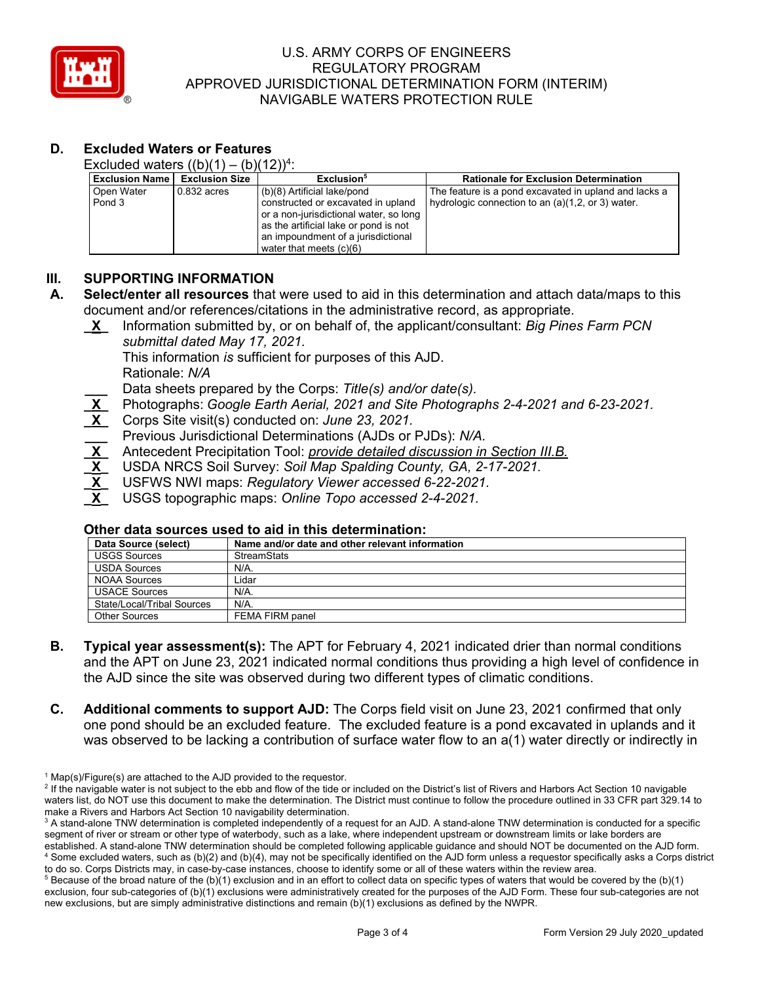

# **D. Excluded Waters or Features**

Excluded waters  $((b)(1) - (b)(12))^4$ :

| <b>Exclusion Name</b> | <b>Exclusion Size</b> | Exclusion <sup>5</sup>                                                                                                                                                                                                  | <b>Rationale for Exclusion Determination</b>                                                                 |
|-----------------------|-----------------------|-------------------------------------------------------------------------------------------------------------------------------------------------------------------------------------------------------------------------|--------------------------------------------------------------------------------------------------------------|
| Open Water<br>Pond 3  | 0.832 acres           | (b)(8) Artificial lake/pond<br>constructed or excavated in upland<br>or a non-jurisdictional water, so long<br>as the artificial lake or pond is not<br>an impoundment of a jurisdictional<br>water that meets $(c)(6)$ | The feature is a pond excavated in upland and lacks a<br>hydrologic connection to an $(a)(1,2,$ or 3) water. |

# **III. SUPPORTING INFORMATION**

- **A. Select/enter all resources** that were used to aid in this determination and attach data/maps to this document and/or references/citations in the administrative record, as appropriate.
	- **\_X\_** Information submitted by, or on behalf of, the applicant/consultant: *Big Pines Farm PCN submittal dated May 17, 2021.* 
		- This information *is* sufficient for purposes of this AJD.
			- Rationale: *N/A*

**\_\_\_** Data sheets prepared by the Corps: *Title(s) and/or date(s).* 

- **\_X\_** Photographs: *Google Earth Aerial, 2021 and Site Photographs 2-4-2021 and 6-23-2021.*
- **\_X\_** Corps Site visit(s) conducted on: *June 23, 2021.*
- **\_\_\_** Previous Jurisdictional Determinations (AJDs or PJDs): *N/A.*
- **\_X\_** Antecedent Precipitation Tool: *provide detailed discussion in Section III.B.*
- **\_X\_** USDA NRCS Soil Survey: *Soil Map Spalding County, GA, 2-17-2021.*
- $\frac{1}{\mathsf{X}}$ **\_X\_** USFWS NWI maps: *Regulatory Viewer accessed 6-22-2021.*
- $\frac{1}{\overline{X}}$ **\_X\_** USGS topographic maps: *Online Topo accessed 2-4-2021.*

### **Other data sources used to aid in this determination:**

| Data Source (select)       | Name and/or date and other relevant information |
|----------------------------|-------------------------------------------------|
| <b>USGS Sources</b>        | <b>StreamStats</b>                              |
| <b>USDA Sources</b>        | N/A.                                            |
| <b>NOAA Sources</b>        | ∟idar                                           |
| <b>USACE Sources</b>       | N/A.                                            |
| State/Local/Tribal Sources | N/A.                                            |
| <b>Other Sources</b>       | FEMA FIRM panel                                 |

- **B. Typical year assessment(s):** The APT for February 4, 2021 indicated drier than normal conditions and the APT on June 23, 2021 indicated normal conditions thus providing a high level of confidence in the AJD since the site was observed during two different types of climatic conditions.
- one pond should be an excluded feature. The excluded feature is a pond excavated in uplands and it **C. Additional comments to support AJD:** The Corps field visit on June 23, 2021 confirmed that only was observed to be lacking a contribution of surface water flow to an a(1) water directly or indirectly in

 $1$  Map(s)/Figure(s) are attached to the AJD provided to the requestor.

<sup>&</sup>lt;sup>2</sup> If the navigable water is not subject to the ebb and flow of the tide or included on the District's list of Rivers and Harbors Act Section 10 navigable waters list, do NOT use this document to make the determination. The District must continue to follow the procedure outlined in 33 CFR part 329.14 to make a Rivers and Harbors Act Section 10 navigability determination.

 $^3$  A stand-alone TNW determination is completed independently of a request for an AJD. A stand-alone TNW determination is conducted for a specific segment of river or stream or other type of waterbody, such as a lake, where independent upstream or downstream limits or lake borders are established. A stand-alone TNW determination should be completed following applicable guidance and should NOT be documented on the AJD form. 4 Some excluded waters, such as (b)(2) and (b)(4), may not be specifically identified on the AJD form unless a requestor specifically asks a Corps district to do so. Corps Districts may, in case-by-case instances, choose to identify some or all of these waters within the review area.

 $^5$  Because of the broad nature of the (b)(1) exclusion and in an effort to collect data on specific types of waters that would be covered by the (b)(1) exclusion, four sub-categories of (b)(1) exclusions were administratively created for the purposes of the AJD Form. These four sub-categories are not new exclusions, but are simply administrative distinctions and remain (b)(1) exclusions as defined by the NWPR.